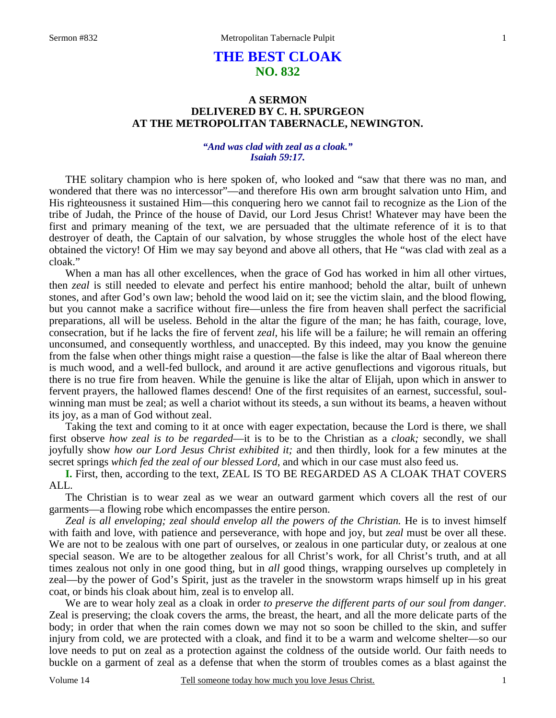# **THE BEST CLOAK NO. 832**

# **A SERMON DELIVERED BY C. H. SPURGEON AT THE METROPOLITAN TABERNACLE, NEWINGTON.**

### *"And was clad with zeal as a cloak." Isaiah 59:17.*

THE solitary champion who is here spoken of, who looked and "saw that there was no man, and wondered that there was no intercessor"—and therefore His own arm brought salvation unto Him, and His righteousness it sustained Him—this conquering hero we cannot fail to recognize as the Lion of the tribe of Judah, the Prince of the house of David, our Lord Jesus Christ! Whatever may have been the first and primary meaning of the text, we are persuaded that the ultimate reference of it is to that destroyer of death, the Captain of our salvation, by whose struggles the whole host of the elect have obtained the victory! Of Him we may say beyond and above all others, that He "was clad with zeal as a cloak."

 When a man has all other excellences, when the grace of God has worked in him all other virtues, then *zeal* is still needed to elevate and perfect his entire manhood; behold the altar, built of unhewn stones, and after God's own law; behold the wood laid on it; see the victim slain, and the blood flowing, but you cannot make a sacrifice without fire—unless the fire from heaven shall perfect the sacrificial preparations, all will be useless. Behold in the altar the figure of the man; he has faith, courage, love, consecration, but if he lacks the fire of fervent *zeal*, his life will be a failure; he will remain an offering unconsumed, and consequently worthless, and unaccepted. By this indeed, may you know the genuine from the false when other things might raise a question—the false is like the altar of Baal whereon there is much wood, and a well-fed bullock, and around it are active genuflections and vigorous rituals, but there is no true fire from heaven. While the genuine is like the altar of Elijah, upon which in answer to fervent prayers, the hallowed flames descend! One of the first requisites of an earnest, successful, soulwinning man must be zeal; as well a chariot without its steeds, a sun without its beams, a heaven without its joy, as a man of God without zeal.

 Taking the text and coming to it at once with eager expectation, because the Lord is there, we shall first observe *how zeal is to be regarded*—it is to be to the Christian as a *cloak;* secondly, we shall joyfully show *how our Lord Jesus Christ exhibited it;* and then thirdly, look for a few minutes at the secret springs *which fed the zeal of our blessed Lord,* and which in our case must also feed us.

**I.** First, then, according to the text, ZEAL IS TO BE REGARDED AS A CLOAK THAT COVERS ALL.

 The Christian is to wear zeal as we wear an outward garment which covers all the rest of our garments—a flowing robe which encompasses the entire person.

*Zeal is all enveloping; zeal should envelop all the powers of the Christian.* He is to invest himself with faith and love, with patience and perseverance, with hope and joy, but *zeal* must be over all these. We are not to be zealous with one part of ourselves, or zealous in one particular duty, or zealous at one special season. We are to be altogether zealous for all Christ's work, for all Christ's truth, and at all times zealous not only in one good thing, but in *all* good things, wrapping ourselves up completely in zeal—by the power of God's Spirit, just as the traveler in the snowstorm wraps himself up in his great coat, or binds his cloak about him, zeal is to envelop all.

 We are to wear holy zeal as a cloak in order *to preserve the different parts of our soul from danger.* Zeal is preserving; the cloak covers the arms, the breast, the heart, and all the more delicate parts of the body; in order that when the rain comes down we may not so soon be chilled to the skin, and suffer injury from cold, we are protected with a cloak, and find it to be a warm and welcome shelter—so our love needs to put on zeal as a protection against the coldness of the outside world. Our faith needs to buckle on a garment of zeal as a defense that when the storm of troubles comes as a blast against the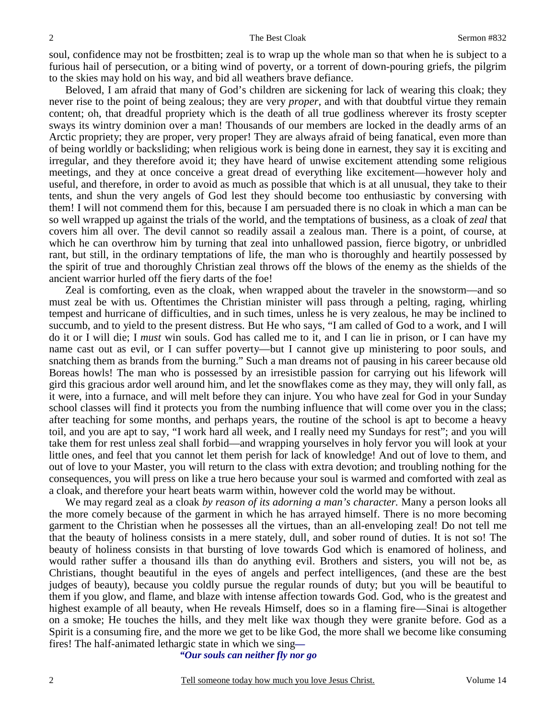soul, confidence may not be frostbitten; zeal is to wrap up the whole man so that when he is subject to a furious hail of persecution, or a biting wind of poverty, or a torrent of down-pouring griefs, the pilgrim to the skies may hold on his way, and bid all weathers brave defiance.

Beloved, I am afraid that many of God's children are sickening for lack of wearing this cloak; they never rise to the point of being zealous; they are very *proper*, and with that doubtful virtue they remain content; oh, that dreadful propriety which is the death of all true godliness wherever its frosty scepter sways its wintry dominion over a man! Thousands of our members are locked in the deadly arms of an Arctic propriety; they are proper, very proper! They are always afraid of being fanatical, even more than of being worldly or backsliding; when religious work is being done in earnest, they say it is exciting and irregular, and they therefore avoid it; they have heard of unwise excitement attending some religious meetings, and they at once conceive a great dread of everything like excitement—however holy and useful, and therefore, in order to avoid as much as possible that which is at all unusual, they take to their tents, and shun the very angels of God lest they should become too enthusiastic by conversing with them! I will not commend them for this, because I am persuaded there is no cloak in which a man can be so well wrapped up against the trials of the world, and the temptations of business, as a cloak of *zeal* that covers him all over. The devil cannot so readily assail a zealous man. There is a point, of course, at which he can overthrow him by turning that zeal into unhallowed passion, fierce bigotry, or unbridled rant, but still, in the ordinary temptations of life, the man who is thoroughly and heartily possessed by the spirit of true and thoroughly Christian zeal throws off the blows of the enemy as the shields of the ancient warrior hurled off the fiery darts of the foe!

 Zeal is comforting, even as the cloak, when wrapped about the traveler in the snowstorm—and so must zeal be with us. Oftentimes the Christian minister will pass through a pelting, raging, whirling tempest and hurricane of difficulties, and in such times, unless he is very zealous, he may be inclined to succumb, and to yield to the present distress. But He who says, "I am called of God to a work, and I will do it or I will die; I *must* win souls. God has called me to it, and I can lie in prison, or I can have my name cast out as evil, or I can suffer poverty—but I cannot give up ministering to poor souls, and snatching them as brands from the burning." Such a man dreams not of pausing in his career because old Boreas howls! The man who is possessed by an irresistible passion for carrying out his lifework will gird this gracious ardor well around him, and let the snowflakes come as they may, they will only fall, as it were, into a furnace, and will melt before they can injure. You who have zeal for God in your Sunday school classes will find it protects you from the numbing influence that will come over you in the class; after teaching for some months, and perhaps years, the routine of the school is apt to become a heavy toil, and you are apt to say, "I work hard all week, and I really need my Sundays for rest"; and you will take them for rest unless zeal shall forbid—and wrapping yourselves in holy fervor you will look at your little ones, and feel that you cannot let them perish for lack of knowledge! And out of love to them, and out of love to your Master, you will return to the class with extra devotion; and troubling nothing for the consequences, you will press on like a true hero because your soul is warmed and comforted with zeal as a cloak, and therefore your heart beats warm within, however cold the world may be without.

 We may regard zeal as a cloak *by reason of its adorning a man's character.* Many a person looks all the more comely because of the garment in which he has arrayed himself. There is no more becoming garment to the Christian when he possesses all the virtues, than an all-enveloping zeal! Do not tell me that the beauty of holiness consists in a mere stately, dull, and sober round of duties. It is not so! The beauty of holiness consists in that bursting of love towards God which is enamored of holiness, and would rather suffer a thousand ills than do anything evil. Brothers and sisters, you will not be, as Christians, thought beautiful in the eyes of angels and perfect intelligences, (and these are the best judges of beauty), because you coldly pursue the regular rounds of duty; but you will be beautiful to them if you glow, and flame, and blaze with intense affection towards God. God, who is the greatest and highest example of all beauty, when He reveals Himself, does so in a flaming fire—Sinai is altogether on a smoke; He touches the hills, and they melt like wax though they were granite before. God as a Spirit is a consuming fire, and the more we get to be like God, the more shall we become like consuming fires! The half-animated lethargic state in which we sing*—* 

*"Our souls can neither fly nor go*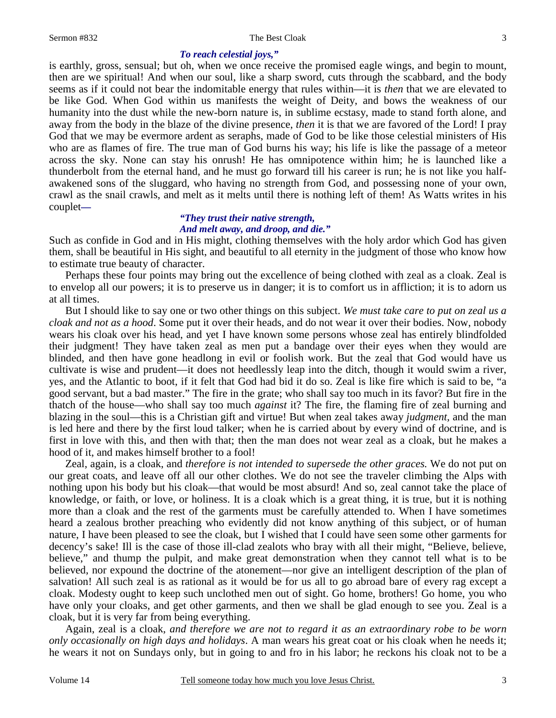#### 3

#### *To reach celestial joys,"*

is earthly, gross, sensual; but oh, when we once receive the promised eagle wings, and begin to mount, then are we spiritual! And when our soul, like a sharp sword, cuts through the scabbard, and the body seems as if it could not bear the indomitable energy that rules within—it is *then* that we are elevated to be like God. When God within us manifests the weight of Deity, and bows the weakness of our humanity into the dust while the new-born nature is, in sublime ecstasy, made to stand forth alone, and away from the body in the blaze of the divine presence, *then* it is that we are favored of the Lord! I pray God that we may be evermore ardent as seraphs, made of God to be like those celestial ministers of His who are as flames of fire. The true man of God burns his way; his life is like the passage of a meteor across the sky. None can stay his onrush! He has omnipotence within him; he is launched like a thunderbolt from the eternal hand, and he must go forward till his career is run; he is not like you halfawakened sons of the sluggard, who having no strength from God, and possessing none of your own, crawl as the snail crawls, and melt as it melts until there is nothing left of them! As Watts writes in his couplet*—* 

### *"They trust their native strength, And melt away, and droop, and die."*

Such as confide in God and in His might, clothing themselves with the holy ardor which God has given them, shall be beautiful in His sight, and beautiful to all eternity in the judgment of those who know how to estimate true beauty of character.

 Perhaps these four points may bring out the excellence of being clothed with zeal as a cloak. Zeal is to envelop all our powers; it is to preserve us in danger; it is to comfort us in affliction; it is to adorn us at all times.

 But I should like to say one or two other things on this subject. *We must take care to put on zeal us a cloak and not as a hood*. Some put it over their heads, and do not wear it over their bodies. Now, nobody wears his cloak over his head, and yet I have known some persons whose zeal has entirely blindfolded their judgment! They have taken zeal as men put a bandage over their eyes when they would are blinded, and then have gone headlong in evil or foolish work. But the zeal that God would have us cultivate is wise and prudent—it does not heedlessly leap into the ditch, though it would swim a river, yes, and the Atlantic to boot, if it felt that God had bid it do so. Zeal is like fire which is said to be, "a good servant, but a bad master." The fire in the grate; who shall say too much in its favor? But fire in the thatch of the house—who shall say too much *against* it? The fire, the flaming fire of zeal burning and blazing in the soul—this is a Christian gift and virtue! But when zeal takes away *judgment,* and the man is led here and there by the first loud talker; when he is carried about by every wind of doctrine, and is first in love with this, and then with that; then the man does not wear zeal as a cloak, but he makes a hood of it, and makes himself brother to a fool!

 Zeal, again, is a cloak, and *therefore is not intended to supersede the other graces.* We do not put on our great coats, and leave off all our other clothes. We do not see the traveler climbing the Alps with nothing upon his body but his cloak—that would be most absurd! And so, zeal cannot take the place of knowledge, or faith, or love, or holiness. It is a cloak which is a great thing, it is true, but it is nothing more than a cloak and the rest of the garments must be carefully attended to. When I have sometimes heard a zealous brother preaching who evidently did not know anything of this subject, or of human nature, I have been pleased to see the cloak, but I wished that I could have seen some other garments for decency's sake! Ill is the case of those ill-clad zealots who bray with all their might, "Believe, believe, believe," and thump the pulpit, and make great demonstration when they cannot tell what is to be believed, nor expound the doctrine of the atonement—nor give an intelligent description of the plan of salvation! All such zeal is as rational as it would be for us all to go abroad bare of every rag except a cloak. Modesty ought to keep such unclothed men out of sight. Go home, brothers! Go home, you who have only your cloaks, and get other garments, and then we shall be glad enough to see you. Zeal is a cloak, but it is very far from being everything.

 Again, zeal is a cloak, *and therefore we are not to regard it as an extraordinary robe to be worn only occasionally on high days and holidays*. A man wears his great coat or his cloak when he needs it; he wears it not on Sundays only, but in going to and fro in his labor; he reckons his cloak not to be a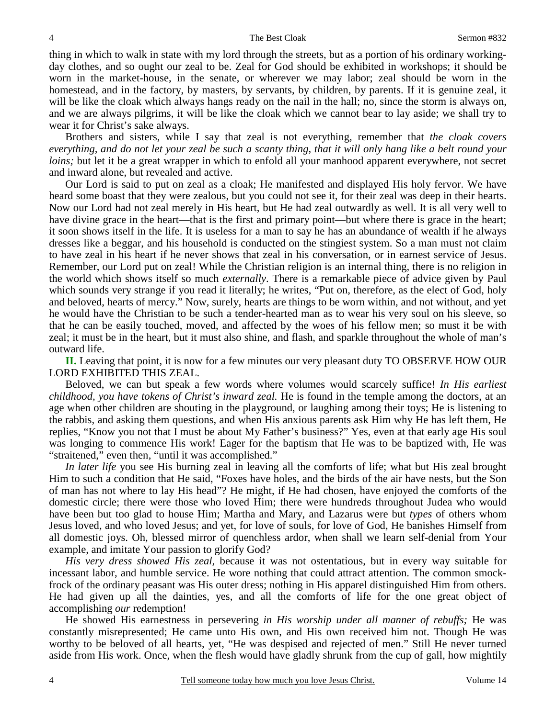thing in which to walk in state with my lord through the streets, but as a portion of his ordinary workingday clothes, and so ought our zeal to be. Zeal for God should be exhibited in workshops; it should be worn in the market-house, in the senate, or wherever we may labor; zeal should be worn in the homestead, and in the factory, by masters, by servants, by children, by parents. If it is genuine zeal, it will be like the cloak which always hangs ready on the nail in the hall; no, since the storm is always on, and we are always pilgrims, it will be like the cloak which we cannot bear to lay aside; we shall try to wear it for Christ's sake always.

 Brothers and sisters, while I say that zeal is not everything, remember that *the cloak covers everything, and do not let your zeal be such a scanty thing, that it will only hang like a belt round your loins*; but let it be a great wrapper in which to enfold all your manhood apparent everywhere, not secret and inward alone, but revealed and active.

 Our Lord is said to put on zeal as a cloak; He manifested and displayed His holy fervor. We have heard some boast that they were zealous, but you could not see it, for their zeal was deep in their hearts. Now our Lord had not zeal merely in His heart, but He had zeal outwardly as well. It is all very well to have divine grace in the heart—that is the first and primary point—but where there is grace in the heart; it soon shows itself in the life. It is useless for a man to say he has an abundance of wealth if he always dresses like a beggar, and his household is conducted on the stingiest system. So a man must not claim to have zeal in his heart if he never shows that zeal in his conversation, or in earnest service of Jesus. Remember, our Lord put on zeal! While the Christian religion is an internal thing, there is no religion in the world which shows itself so much *externally*. There is a remarkable piece of advice given by Paul which sounds very strange if you read it literally; he writes, "Put on, therefore, as the elect of God, holy and beloved, hearts of mercy." Now, surely, hearts are things to be worn within, and not without, and yet he would have the Christian to be such a tender-hearted man as to wear his very soul on his sleeve, so that he can be easily touched, moved, and affected by the woes of his fellow men; so must it be with zeal; it must be in the heart, but it must also shine, and flash, and sparkle throughout the whole of man's outward life.

**II.** Leaving that point, it is now for a few minutes our very pleasant duty TO OBSERVE HOW OUR LORD EXHIBITED THIS ZEAL.

 Beloved, we can but speak a few words where volumes would scarcely suffice! *In His earliest childhood, you have tokens of Christ's inward zeal.* He is found in the temple among the doctors, at an age when other children are shouting in the playground, or laughing among their toys; He is listening to the rabbis, and asking them questions, and when His anxious parents ask Him why He has left them, He replies, "Know you not that I must be about My Father's business?" Yes, even at that early age His soul was longing to commence His work! Eager for the baptism that He was to be baptized with, He was "straitened," even then, "until it was accomplished."

*In later life* you see His burning zeal in leaving all the comforts of life; what but His zeal brought Him to such a condition that He said, "Foxes have holes, and the birds of the air have nests, but the Son of man has not where to lay His head"? He might, if He had chosen, have enjoyed the comforts of the domestic circle; there were those who loved Him; there were hundreds throughout Judea who would have been but too glad to house Him; Martha and Mary, and Lazarus were but *types* of others whom Jesus loved, and who loved Jesus; and yet, for love of souls, for love of God, He banishes Himself from all domestic joys. Oh, blessed mirror of quenchless ardor, when shall we learn self-denial from Your example, and imitate Your passion to glorify God?

*His very dress showed His zeal,* because it was not ostentatious, but in every way suitable for incessant labor, and humble service. He wore nothing that could attract attention. The common smockfrock of the ordinary peasant was His outer dress; nothing in His apparel distinguished Him from others. He had given up all the dainties, yes, and all the comforts of life for the one great object of accomplishing *our* redemption!

 He showed His earnestness in persevering *in His worship under all manner of rebuffs;* He was constantly misrepresented; He came unto His own, and His own received him not. Though He was worthy to be beloved of all hearts, yet, "He was despised and rejected of men." Still He never turned aside from His work. Once, when the flesh would have gladly shrunk from the cup of gall, how mightily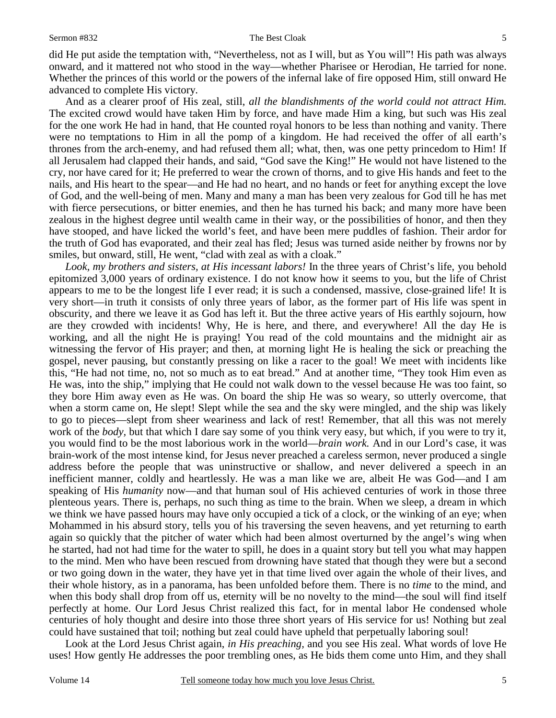#### Sermon #832 The Best Cloak

did He put aside the temptation with, "Nevertheless, not as I will, but as You will"! His path was always onward, and it mattered not who stood in the way—whether Pharisee or Herodian, He tarried for none. Whether the princes of this world or the powers of the infernal lake of fire opposed Him, still onward He advanced to complete His victory.

 And as a clearer proof of His zeal, still, *all the blandishments of the world could not attract Him.*  The excited crowd would have taken Him by force, and have made Him a king, but such was His zeal for the one work He had in hand, that He counted royal honors to be less than nothing and vanity. There were no temptations to Him in all the pomp of a kingdom. He had received the offer of all earth's thrones from the arch-enemy, and had refused them all; what, then, was one petty princedom to Him! If all Jerusalem had clapped their hands, and said, "God save the King!" He would not have listened to the cry, nor have cared for it; He preferred to wear the crown of thorns, and to give His hands and feet to the nails, and His heart to the spear—and He had no heart, and no hands or feet for anything except the love of God, and the well-being of men. Many and many a man has been very zealous for God till he has met with fierce persecutions, or bitter enemies, and then he has turned his back; and many more have been zealous in the highest degree until wealth came in their way, or the possibilities of honor, and then they have stooped, and have licked the world's feet, and have been mere puddles of fashion. Their ardor for the truth of God has evaporated, and their zeal has fled; Jesus was turned aside neither by frowns nor by smiles, but onward, still, He went, "clad with zeal as with a cloak."

*Look, my brothers and sisters, at His incessant labors!* In the three years of Christ's life, you behold epitomized 3,000 years of ordinary existence. I do not know how it seems to you, but the life of Christ appears to me to be the longest life I ever read; it is such a condensed, massive, close-grained life! It is very short—in truth it consists of only three years of labor, as the former part of His life was spent in obscurity, and there we leave it as God has left it. But the three active years of His earthly sojourn, how are they crowded with incidents! Why, He is here, and there, and everywhere! All the day He is working, and all the night He is praying! You read of the cold mountains and the midnight air as witnessing the fervor of His prayer; and then, at morning light He is healing the sick or preaching the gospel, never pausing, but constantly pressing on like a racer to the goal! We meet with incidents like this, "He had not time, no, not so much as to eat bread." And at another time, "They took Him even as He was, into the ship," implying that He could not walk down to the vessel because He was too faint, so they bore Him away even as He was. On board the ship He was so weary, so utterly overcome, that when a storm came on, He slept! Slept while the sea and the sky were mingled, and the ship was likely to go to pieces—slept from sheer weariness and lack of rest! Remember, that all this was not merely work of the *body,* but that which I dare say some of you think very easy, but which, if you were to try it, you would find to be the most laborious work in the world—*brain work.* And in our Lord's case, it was brain-work of the most intense kind, for Jesus never preached a careless sermon, never produced a single address before the people that was uninstructive or shallow, and never delivered a speech in an inefficient manner, coldly and heartlessly. He was a man like we are, albeit He was God—and I am speaking of His *humanity* now—and that human soul of His achieved centuries of work in those three plenteous years. There is, perhaps, no such thing as time to the brain. When we sleep, a dream in which we think we have passed hours may have only occupied a tick of a clock, or the winking of an eye; when Mohammed in his absurd story, tells you of his traversing the seven heavens, and yet returning to earth again so quickly that the pitcher of water which had been almost overturned by the angel's wing when he started, had not had time for the water to spill, he does in a quaint story but tell you what may happen to the mind. Men who have been rescued from drowning have stated that though they were but a second or two going down in the water, they have yet in that time lived over again the whole of their lives, and their whole history, as in a panorama, has been unfolded before them. There is no *time* to the mind, and when this body shall drop from off us, eternity will be no novelty to the mind—the soul will find itself perfectly at home. Our Lord Jesus Christ realized this fact, for in mental labor He condensed whole centuries of holy thought and desire into those three short years of His service for us! Nothing but zeal could have sustained that toil; nothing but zeal could have upheld that perpetually laboring soul!

 Look at the Lord Jesus Christ again, *in His preaching,* and you see His zeal. What words of love He uses! How gently He addresses the poor trembling ones, as He bids them come unto Him, and they shall

5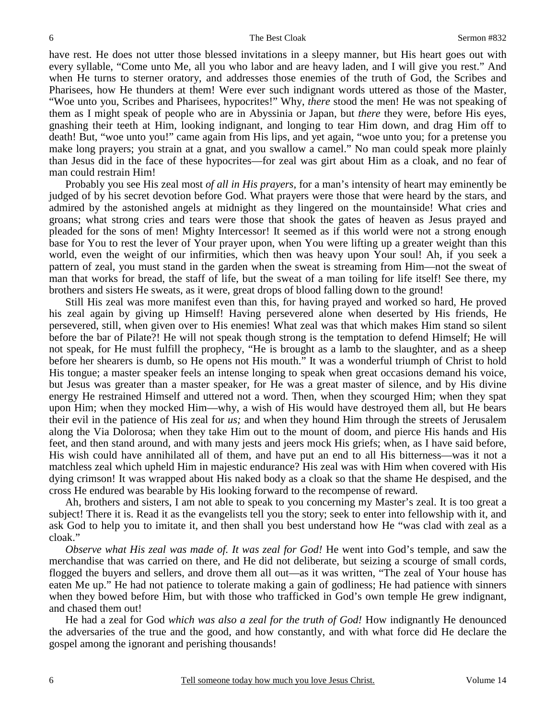#### The Best Cloak Sermon #832

have rest. He does not utter those blessed invitations in a sleepy manner, but His heart goes out with every syllable, "Come unto Me, all you who labor and are heavy laden, and I will give you rest." And when He turns to sterner oratory, and addresses those enemies of the truth of God, the Scribes and Pharisees, how He thunders at them! Were ever such indignant words uttered as those of the Master, "Woe unto you, Scribes and Pharisees, hypocrites!" Why, *there* stood the men! He was not speaking of them as I might speak of people who are in Abyssinia or Japan, but *there* they were, before His eyes, gnashing their teeth at Him, looking indignant, and longing to tear Him down, and drag Him off to death! But, "woe unto you!" came again from His lips, and yet again, "woe unto you; for a pretense you make long prayers; you strain at a gnat, and you swallow a camel." No man could speak more plainly than Jesus did in the face of these hypocrites—for zeal was girt about Him as a cloak, and no fear of man could restrain Him!

 Probably you see His zeal most *of all in His prayers,* for a man's intensity of heart may eminently be judged of by his secret devotion before God. What prayers were those that were heard by the stars, and admired by the astonished angels at midnight as they lingered on the mountainside! What cries and groans; what strong cries and tears were those that shook the gates of heaven as Jesus prayed and pleaded for the sons of men! Mighty Intercessor! It seemed as if this world were not a strong enough base for You to rest the lever of Your prayer upon, when You were lifting up a greater weight than this world, even the weight of our infirmities, which then was heavy upon Your soul! Ah, if you seek a pattern of zeal, you must stand in the garden when the sweat is streaming from Him—not the sweat of man that works for bread, the staff of life, but the sweat of a man toiling for life itself! See there, my brothers and sisters He sweats, as it were, great drops of blood falling down to the ground!

 Still His zeal was more manifest even than this, for having prayed and worked so hard, He proved his zeal again by giving up Himself! Having persevered alone when deserted by His friends, He persevered, still, when given over to His enemies! What zeal was that which makes Him stand so silent before the bar of Pilate?! He will not speak though strong is the temptation to defend Himself; He will not speak, for He must fulfill the prophecy, "He is brought as a lamb to the slaughter, and as a sheep before her shearers is dumb, so He opens not His mouth." It was a wonderful triumph of Christ to hold His tongue; a master speaker feels an intense longing to speak when great occasions demand his voice, but Jesus was greater than a master speaker, for He was a great master of silence, and by His divine energy He restrained Himself and uttered not a word. Then, when they scourged Him; when they spat upon Him; when they mocked Him—why, a wish of His would have destroyed them all, but He bears their evil in the patience of His zeal for *us;* and when they hound Him through the streets of Jerusalem along the Via Dolorosa; when they take Him out to the mount of doom, and pierce His hands and His feet, and then stand around, and with many jests and jeers mock His griefs; when, as I have said before, His wish could have annihilated all of them, and have put an end to all His bitterness—was it not a matchless zeal which upheld Him in majestic endurance? His zeal was with Him when covered with His dying crimson! It was wrapped about His naked body as a cloak so that the shame He despised, and the cross He endured was bearable by His looking forward to the recompense of reward.

 Ah, brothers and sisters, I am not able to speak to you concerning my Master's zeal. It is too great a subject! There it is. Read it as the evangelists tell you the story; seek to enter into fellowship with it, and ask God to help you to imitate it, and then shall you best understand how He "was clad with zeal as a cloak."

*Observe what His zeal was made of. It was zeal for God!* He went into God's temple, and saw the merchandise that was carried on there, and He did not deliberate, but seizing a scourge of small cords, flogged the buyers and sellers, and drove them all out—as it was written, "The zeal of Your house has eaten Me up." He had not patience to tolerate making a gain of godliness; He had patience with sinners when they bowed before Him, but with those who trafficked in God's own temple He grew indignant, and chased them out!

 He had a zeal for God *which was also a zeal for the truth of God!* How indignantly He denounced the adversaries of the true and the good, and how constantly, and with what force did He declare the gospel among the ignorant and perishing thousands!

6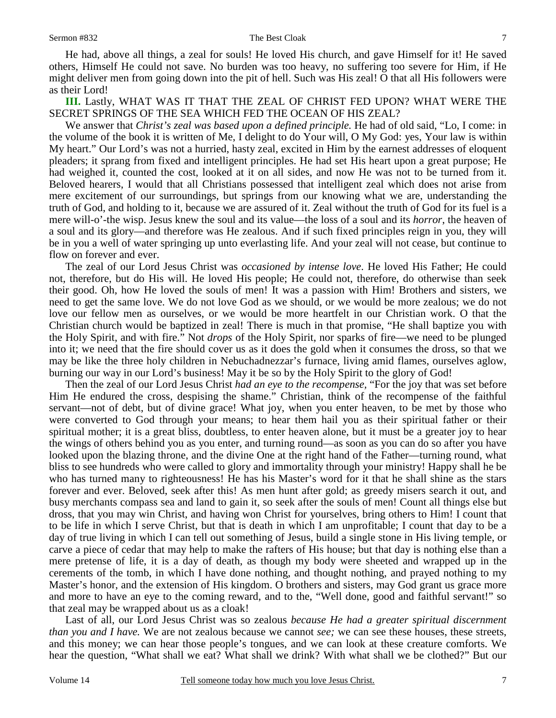He had, above all things, a zeal for souls! He loved His church, and gave Himself for it! He saved others, Himself He could not save. No burden was too heavy, no suffering too severe for Him, if He might deliver men from going down into the pit of hell. Such was His zeal! O that all His followers were as their Lord!

**III.** Lastly, WHAT WAS IT THAT THE ZEAL OF CHRIST FED UPON? WHAT WERE THE SECRET SPRINGS OF THE SEA WHICH FED THE OCEAN OF HIS ZEAL?

 We answer that *Christ's zeal was based upon a defined principle.* He had of old said, "Lo, I come: in the volume of the book it is written of Me, I delight to do Your will, O My God: yes, Your law is within My heart." Our Lord's was not a hurried, hasty zeal, excited in Him by the earnest addresses of eloquent pleaders; it sprang from fixed and intelligent principles. He had set His heart upon a great purpose; He had weighed it, counted the cost, looked at it on all sides, and now He was not to be turned from it. Beloved hearers, I would that all Christians possessed that intelligent zeal which does not arise from mere excitement of our surroundings, but springs from our knowing what we are, understanding the truth of God, and holding to it, because we are assured of it. Zeal without the truth of God for its fuel is a mere will-o'-the wisp. Jesus knew the soul and its value—the loss of a soul and its *horror*, the heaven of a soul and its glory—and therefore was He zealous. And if such fixed principles reign in you, they will be in you a well of water springing up unto everlasting life. And your zeal will not cease, but continue to flow on forever and ever.

 The zeal of our Lord Jesus Christ was *occasioned by intense love*. He loved His Father; He could not, therefore, but do His will. He loved His people; He could not, therefore, do otherwise than seek their good. Oh, how He loved the souls of men! It was a passion with Him! Brothers and sisters, we need to get the same love. We do not love God as we should, or we would be more zealous; we do not love our fellow men as ourselves, or we would be more heartfelt in our Christian work. O that the Christian church would be baptized in zeal! There is much in that promise, "He shall baptize you with the Holy Spirit, and with fire." Not *drops* of the Holy Spirit, nor sparks of fire—we need to be plunged into it; we need that the fire should cover us as it does the gold when it consumes the dross, so that we may be like the three holy children in Nebuchadnezzar's furnace, living amid flames, ourselves aglow, burning our way in our Lord's business! May it be so by the Holy Spirit to the glory of God!

 Then the zeal of our Lord Jesus Christ *had an eye to the recompense,* "For the joy that was set before Him He endured the cross, despising the shame." Christian, think of the recompense of the faithful servant—not of debt, but of divine grace! What joy, when you enter heaven, to be met by those who were converted to God through your means; to hear them hail you as their spiritual father or their spiritual mother; it is a great bliss, doubtless, to enter heaven alone, but it must be a greater joy to hear the wings of others behind you as you enter, and turning round—as soon as you can do so after you have looked upon the blazing throne, and the divine One at the right hand of the Father—turning round, what bliss to see hundreds who were called to glory and immortality through your ministry! Happy shall he be who has turned many to righteousness! He has his Master's word for it that he shall shine as the stars forever and ever. Beloved, seek after this! As men hunt after gold; as greedy misers search it out, and busy merchants compass sea and land to gain it, so seek after the souls of men! Count all things else but dross, that you may win Christ, and having won Christ for yourselves, bring others to Him! I count that to be life in which I serve Christ, but that is death in which I am unprofitable; I count that day to be a day of true living in which I can tell out something of Jesus, build a single stone in His living temple, or carve a piece of cedar that may help to make the rafters of His house; but that day is nothing else than a mere pretense of life, it is a day of death, as though my body were sheeted and wrapped up in the cerements of the tomb, in which I have done nothing, and thought nothing, and prayed nothing to my Master's honor, and the extension of His kingdom. O brothers and sisters, may God grant us grace more and more to have an eye to the coming reward, and to the, "Well done, good and faithful servant!" so that zeal may be wrapped about us as a cloak!

 Last of all, our Lord Jesus Christ was so zealous *because He had a greater spiritual discernment than you and I have.* We are not zealous because we cannot *see;* we can see these houses, these streets, and this money; we can hear those people's tongues, and we can look at these creature comforts. We hear the question, "What shall we eat? What shall we drink? With what shall we be clothed?" But our